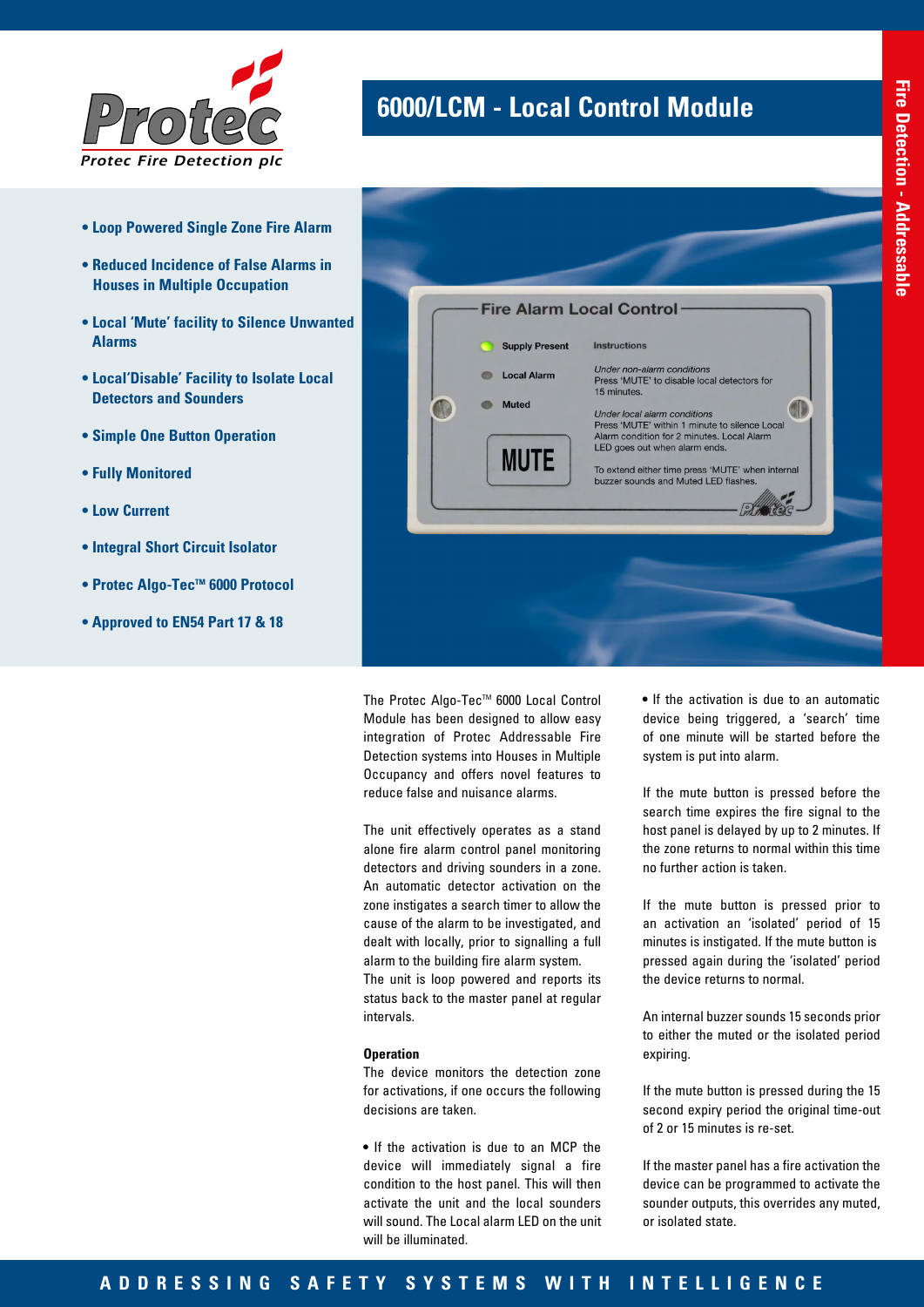

## **6000/LCM - Local Control Module**

Fire Alarm Local Control Instructions **Supply Present** Under non-alarm conditions<br>Press 'MUTE' to disable local detectors for **Local Alarm** 15 minutes Muted **AI** Under local alarm conditions<br>Press 'MUTE' within 1 minute to silence Local Alarm condition for 2 minutes. Local Alarm LED goes out when alarm ends. **MUTE** To extend either time press 'MUTE' when internal<br>buzzer sounds and Muted LED flashes. **PARTICIP** 

The Protec Algo-Tec™ 6000 Local Control Module has been designed to allow easy integration of Protec Addressable Fire Detection systems into Houses in Multiple Occupancy and offers novel features to reduce false and nuisance alarms.

The unit effectively operates as a stand alone fire alarm control panel monitoring detectors and driving sounders in a zone. An automatic detector activation on the zone instigates a search timer to allow the cause of the alarm to be investigated, and dealt with locally, prior to signalling a full alarm to the building fire alarm system. The unit is loop powered and reports its status back to the master panel at regular intervals.

#### **Operation**

The device monitors the detection zone for activations, if one occurs the following decisions are taken.

• If the activation is due to an MCP the device will immediately signal a fire condition to the host panel. This will then activate the unit and the local sounders will sound. The Local alarm LED on the unit will be illuminated.

• If the activation is due to an automatic device being triggered, a 'search' time of one minute will be started before the system is put into alarm.

If the mute button is pressed before the search time expires the fire signal to the host panel is delayed by up to 2 minutes. If the zone returns to normal within this time no further action is taken.

If the mute button is pressed prior to an activation an 'isolated' period of 15 minutes is instigated. If the mute button is pressed again during the 'isolated' period the device returns to normal.

An internal buzzer sounds 15 seconds prior to either the muted or the isolated period expiring.

If the mute button is pressed during the 15 second expiry period the original time-out of 2 or 15 minutes is re-set.

If the master panel has a fire activation the device can be programmed to activate the sounder outputs, this overrides any muted, or isolated state.

- **Loop Powered Single Zone Fire Alarm**
- **Reduced Incidence of False Alarms in Houses in Multiple Occupation**
- **Local 'Mute' facility to Silence Unwanted Alarms**
- **Local'Disable' Facility to Isolate Local Detectors and Sounders**
- **Simple One Button Operation**
- **Fully Monitored**
- **Low Current**
- **Integral Short Circuit Isolator**
- Protec Algo-Tec™ 6000 Protocol
- **Approved to EN54 Part 17 & 18**